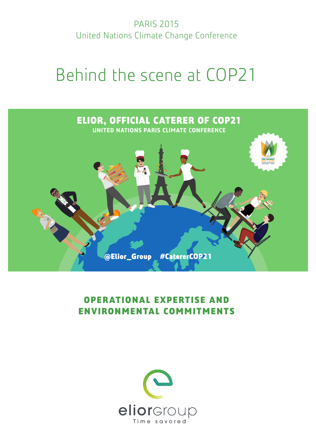PARIS 2015 United Nations Climate Change Conference

# Behind the scene at COP21



# **OPERATIONAL EXPERTISE AND ENVIRONMENTAL COMMITMENTS**

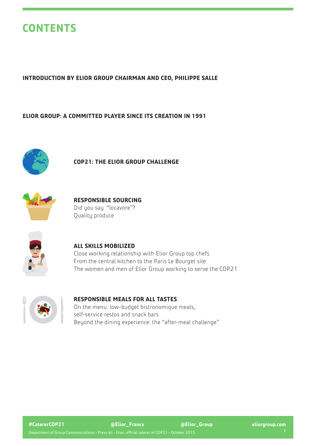# **CONTENTS**

### **INTRODUCTION BY ELIOR GROUP CHAIRMAN AND CEO, PHILIPPE SALLE**

### **ELIOR GROUP: A COMMITTED PLAYER SINCE ITS CREATION IN 1991**



### **COP21: THE ELIOR GROUP CHALLENGE**



### **RESPONSIBLE SOURCING** Did you say "locavore"? Quality produce



### **ALL SKILLS MOBILIZED**

Close working relationship with Elior Group top chefs From the central kitchen to the Paris Le Bourget site The women and men of Elior Group working to serve the COP21



### **RESPONSIBLE MEALS FOR ALL TASTES**

On the menu: low-budget bistronomique meals, self-service restos and snack bars Beyond the dining experience: the "after-meal challenge"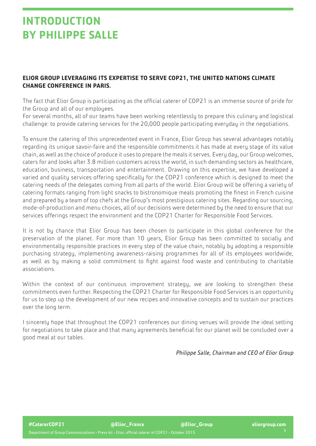# **INTRODUCTION BY PHILIPPE SALLE**

# **ELIOR GROUP LEVERAGING ITS EXPERTISE TO SERVE COP21, THE UNITED NATIONS CLIMATE CHANGE CONFERENCE IN PARIS.**

The fact that Elior Group is participating as the official caterer of COP21 is an immense source of pride for the Group and all of our employees.

For several months, all of our teams have been working relentlessly to prepare this culinary and logistical challenge: to provide catering services for the 20,000 people participating everyday in the negotiations.

To ensure the catering of this unprecedented event in France, Elior Group has several advantages notably regarding its unique savoir-faire and the responsible commitments it has made at every stage of its value chain, as well as the choice of produce it uses to prepare the meals it serves. Every day, our Group welcomes, caters for and looks after 3.8 million customers across the world, in such demanding sectors as healthcare, education, business, transportation and entertainment. Drawing on this expertise, we have developed a varied and quality services offering specifically for the COP21 conference which is designed to meet the catering needs of the delegates coming from all parts of the world. Elior Group will be offering a variety of catering formats ranging from light snacks to bistronomique meals promoting the finest in French cuisine and prepared by a team of top chefs at the Group's most prestigious catering sites. Regarding our sourcing, mode-of-production and menu choices, all of our decisions were determined by the need to ensure that our services offerings respect the environment and the COP21 Charter for Responsible Food Services.

It is not by chance that Elior Group has been chosen to participate in this global conference for the preservation of the planet. For more than 10 years, Elior Group has been committed to socially and environmentally responsible practices in every step of the value chain, notably by adopting a responsible purchasing strategy, implementing awareness-raising programmes for all of its employees worldwide, as well as by making a solid commitment to fight against food waste and contributing to charitable associations.

Within the context of our continuous improvement strategy, we are looking to strengthen these commitments even further. Respecting the COP21 Charter for Responsible Food Services is an opportunity for us to step up the development of our new recipes and innovative concepts and to sustain our practices over the long term.

I sincerely hope that throughout the COP21 conferences our dining venues will provide the ideal setting for negotiations to take place and that many agreements beneficial for our planet will be concluded over a good meal at our tables.

*Philippe Salle, Chairman and CEO of Elior Group*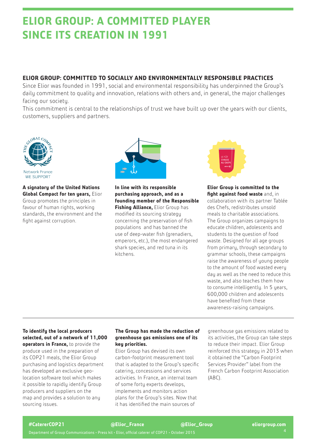# **ELIOR GROUP: A COMMITTED PLAYER SINCE ITS CREATION IN 1991**

# **ELIOR GROUP: COMMITTED TO SOCIALLY AND ENVIRONMENTALLY RESPONSIBLE PRACTICES**

Since Elior was founded in 1991, social and environmental responsibility has underpinned the Group's daily commitment to quality and innovation, relations with others and, in general, the major challenges facing our society.

This commitment is central to the relationships of trust we have built up over the years with our clients, customers, suppliers and partners.



**A signatory of the United Nations Global Compact for ten years,** Elior Group promotes the principles in favour of human rights, working standards, the environment and the fight against corruption.



**In line with its responsible purchasing approach, and as a founding member of the Responsible Fishing Alliance,** Elior Group has modified its sourcing strategy concerning the preservation of fish populations and has banned the use of deep-water fish (grenadiers, emperors, etc.), the most endangered shark species, and red tuna in its kitchens.



**Elior Group is committed to the fight against food waste** and, in collaboration with its partner [Tablée](http://www.tableedeschefs.org/en)  [des Chefs](http://www.tableedeschefs.org/en), redistributes unsold meals to charitable associations. The Group organizes campaigns to educate children, adolescents and students to the question of food waste. Designed for all age groups from primary, through secondary to grammar schools, these campaigns raise the awareness of young people to the amount of food wasted every day as well as the need to reduce this waste, and also teaches them how to consume intelligently. In 5 years, 600,000 children and adolescents have benefited from these awareness-raising campaigns.

#### **To identify the local producers selected, out of a network of 11,000 operators in France,** to provide the

produce used in the preparation of its COP21 meals, the Elior Group purchasing and logistics department has developed an exclusive geolocation software tool which makes it possible to rapidly identify Group producers and suppliers on the map and provides a solution to any sourcing issues.

#### **The Group has made the reduction of greenhouse gas emissions one of its key priorities.**

Elior Group has devised its own carbon-footprint measurement tool that is adapted to the Group's specific catering, concessions and services activities. In France, an internal team of some forty experts develops, implements and monitors action plans for the Group's sites. Now that it has identified the main sources of

greenhouse gas emissions related to its activities, the Group can take steps to reduce their impact. Elior Group reinforced this strategy in 2013 when it obtained the "Carbon Footprint Services Provider" label from the French Carbon Footprint Association (ABC).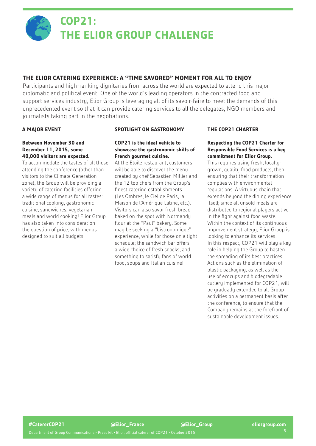

# **COP21: THE ELIOR GROUP CHALLENGE**

# **THE ELIOR CATERING EXPERIENCE: A "TIME SAVORED" MOMENT FOR ALL TO ENJOY**

Participants and high-ranking dignitaries from across the world are expected to attend this major diplomatic and political event. One of the world's leading operators in the contracted food and support services industry, Elior Group is leveraging all of its savoir-faire to meet the demands of this unprecedented event so that it can provide catering services to all the delegates, NGO members and journalists taking part in the negotiations.

### **A MAJOR EVENT**

#### **Between November 30 and December 11, 2015, some 40,000 visitors are expected.**

To accommodate the tastes of all those attending the conference (other than visitors to the Climate Generation zone), the Group will be providing a variety of catering facilities offering a wide range of menus for all tastes: traditional cooking, gastronomic cuisine, sandwiches, vegetarian meals and world cooking! Elior Group has also taken into consideration the question of price, with menus designed to suit all budgets.

#### **SPOTLIGHT ON GASTRONOMY**

#### **COP21 is the ideal vehicle to showcase the gastronomic skills of French gourmet cuisine.**

At the Etoile restaurant, customers will be able to discover the menu created by chef Sebastien Millier and the 12 top chefs from the Group's finest catering establishments ([Les Ombres,](http://www.lesombres-restaurant.com/) [le Ciel de Paris](http://www.cieldeparis.com/fr/)[, la]( http://mal217.org/english/ )  [Maison de l'Amérique Latine,]( http://mal217.org/english/ ) etc.). Visitors can also savor fresh bread baked on the spot with Normandy flour at the "Paul" bakery. Some may be seeking a "bistronomique" experience, while for those on a tight schedule; the sandwich bar offers a wide choice of fresh snacks, and something to satisfy fans of world food, soups and Italian cuisine!

#### **THE COP21 CHARTER**

#### **Respecting the COP21 Charter for Responsible Food Services is a key commitment for Elior Group.**

This requires using fresh, locallygrown, quality food products, then ensuring that their transformation complies with environmental regulations. A virtuous chain that extends beyond the dining experience itself, since all unsold meals are distributed to regional players active in the fight against food waste. Within the context of its continuous improvement strategy, Elior Group is looking to enhance its services. In this respect, COP21 will play a key role in helping the Group to hasten the spreading of its best practices. Actions such as the elimination of plastic packaging, as well as the use of ecocups and biodegradable cutlery implemented for COP21, will be gradually extended to all Group activities on a permanent basis after the conference, to ensure that the Company remains at the forefront of sustainable development issues.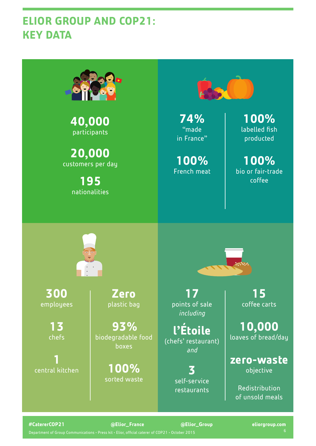# **ELIOR GROUP AND COP21: KEY DATA**



**40,000** participants

**20,000** customers per day

> **195** nationalities



**74%**  "made in France"

**100%**  French meat

**100%**  labelled fish producted

**100%**  bio or fair-trade coffee



**300** employees

> **13**  chefs

**1**  central kitchen

**Zero**  plastic bag

**93%** biodegradable food boxes

> **100%** sorted waste

**17** points of sale *including*

**l'Étoile** (chefs' restaurant) *and*

> **3** self-service restaurants

**15** coffee carts

**10,000**  loaves of bread/day

**zero-waste**  objective

Redistribution of unsold meals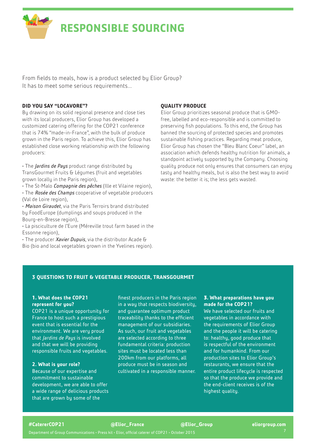

# **RESPONSIBLE SOURCING**

From fields to meals, how is a product selected by Elior Group? It has to meet some serious requirements...

#### **DID YOU SAY "LOCAVORE"?**

By drawing on its solid regional presence and close ties with its local producers, Elior Group has developed a customized catering offering for the COP21 conference that is 74% "made-in-France", with the bulk of produce grown in the Paris region. To achieve this, Elior Group has established close working relationship with the following producers:

• The *Jardins de Pays* product range distributed by TransGourmet Fruits & Légumes (fruit and vegetables grown locally in the Paris region),

• The St-Malo *Compagnie des pêches* (Ille et Vilaine region), • The *Rosée des Champs* cooperative of vegetable producers (Val de Loire region),

• *Maison Giraudet*, via the Paris Terroirs brand distributed by FoodEurope (dumplings and soups produced in the Bourg-en-Bresse region),

• La pisciculture de l'Eure (Méreville trout farm based in the Essonne region),

• The producer *Xavier Dupuis*, via the distributor Acade & Bio (bio and local vegetables grown in the Yvelines region).

#### **QUALITY PRODUCE**

Elior Group prioritizes seasonal produce that is GMOfree, labelled and eco-responsible and is committed to preserving fish populations. To this end, the Group has banned the sourcing of protected species and promotes sustainable fishing practices. Regarding meat produce, Elior Group has chosen the "[Bleu Blanc Coeur"](http://www.bleu-blanc-coeur.org/) label, an association which defends healthy nutrition for animals, a standpoint actively supported by the Company. Choosing quality produce not only ensures that consumers can enjoy tasty and healthy meals, but is also the best way to avoid waste: the better it is; the less gets wasted.

#### **3 QUESTIONS TO FRUIT & VEGETABLE PRODUCER, TRANSGOURMET**

#### **1. What does the COP21 represent for you?**

COP21 is a unique opportunity for France to host such a prestigious event that is essential for the environment. We are very proud that *Jardins de Pays* is involved and that we will be providing responsible fruits and vegetables.

#### **2. What is your role?**

Because of our expertise and commitment to sustainable development, we are able to offer a wide range of delicious products that are grown by some of the

finest producers in the Paris region in a way that respects biodiversity, and guarantee optimum product traceability thanks to the efficient management of our subsidiaries. As such, our fruit and vegetables are selected according to three fundamental criteria: production sites must be located less than 200km from our platforms, all produce must be in season and cultivated in a responsible manner.

#### **3. What preparations have you made for the COP21?**

We have selected our fruits and vegetables in accordance with the requirements of Elior Group and the people it will be catering to: healthy, good produce that is respectful of the environment and for humankind. From our production sites to Elior Group's restaurants, we ensure that the entire product lifecycle is respected so that the produce we provide and the end-client receives is of the highest quality.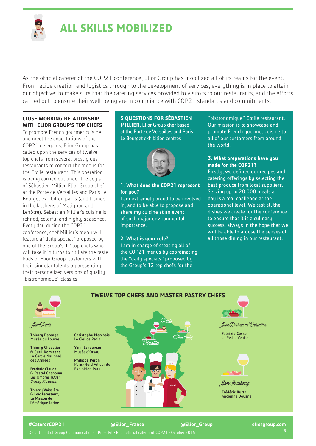

# **ALL SKILLS MOBILIZED**

As the official caterer of the COP21 conference, Elior Group has mobilized all of its teams for the event. From recipe creation and logistics through to the development of services, everything is in place to attain our objective: to make sure that the catering services provided to visitors to our restaurants, and the efforts carried out to ensure their well-being are in compliance with COP21 standards and commitments.

#### **CLOSE WORKING RELATIONSHIP WITH ELIOR GROUP'S TOP CHEFS**

To promote French gourmet cuisine and meet the expectations of the COP21 delegates, Elior Group has called upon the services of twelve top chefs from several prestigious restaurants to concoct the menus for the Etoile restaurant. This operation is being carried out under the aegis of Sébastien Millier, Elior Group chef at the Porte de Versailles and Paris Le Bourget exhibition parks (and trained in the kitchens of Matignon and Lenôtre). Sébastien Millier's cuisine is refined, colorful and highly seasoned. Every day during the COP21 conference, chef Millier's menu will feature a "daily special" proposed by one of the Group's 12 top chefs who will take it in turns to titillate the taste buds of Elior Group customers with their singular talents by presenting their personalized versions of quality "bistronomique" classics.

#### **3 QUESTIONS FOR SÉBASTIEN MILLIER,** Elior Group chef based at the Porte de Versailles and Paris Le Bourget exhibition centres



#### **1. What does the COP21 represent for you?**

I am extremely proud to be involved in, and to be able to propose and share my cuisine at an event of such major environmental importance.

#### **2. What is your role?**

I am in charge of creating all of the COP21 menus by coordinating the "daily specials" proposed by the Group's 12 top chefs for the

"bistronomique" Etoile restaurant. Our mission is to showcase and promote French gourmet cuisine to all of our customers from around the world.

#### **3. What preparations have you made for the COP21?**

Firstly, we defined our recipes and catering offerings by selecting the best produce from local suppliers. Serving up to 20,000 meals a day is a real challenge at the operational level. We test all the dishes we create for the conference to ensure that it is a culinary success, always in the hope that we will be able to arouse the senses of all those dining in our restaurant.



Department of Group Communications • Press kit • Elior, official caterer of COP21 • October 2015 8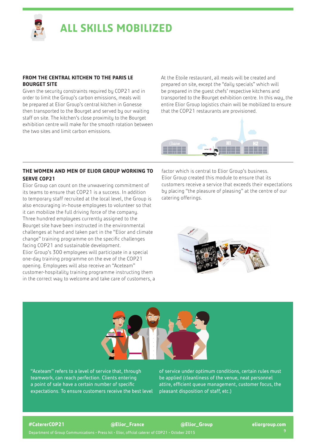

# **ALL SKILLS MOBILIZED**

#### **FROM THE CENTRAL KITCHEN TO THE PARIS LE BOURGET SITE**

Given the security constraints required by COP21 and in order to limit the Group's carbon emissions, meals will be prepared at Elior Group's central kitchen in Gonesse then transported to the Bourget and served by our waiting staff on site. The kitchen's close proximity to the Bourget exhibition centre will make for the smooth rotation between the two sites and limit carbon emissions.

At the Etoile restaurant, all meals will be created and prepared on site, except the "daily specials" which will be prepared in the guest chefs' respective kitchens and transported to the Bourget exhibition centre. In this way, the entire Elior Group logistics chain will be mobilized to ensure that the COP21 restaurants are provisioned.



#### **THE WOMEN AND MEN OF ELIOR GROUP WORKING TO SERVE COP21**

Elior Group can count on the unwavering commitment of its teams to ensure that COP21 is a success. In addition to temporary staff recruited at the local level, the Group is also encouraging in-house employees to volunteer so that it can mobilize the full driving force of the company. Three hundred employees currently assigned to the Bourget site have been instructed in the environmental challenges at hand and taken part in the "Elior and climate change" training programme on the specific challenges facing COP21 and sustainable development. Elior Group's 300 employees will participate in a special one-day training programme on the eve of the COP21 opening. Employees will also receive an "Aceteam" customer-hospitality training programme instructing them in the correct way to welcome and take care of customers, a factor which is central to Elior Group's business. Elior Group created this module to ensure that its customers receive a service that exceeds their expectations by placing "the pleasure of pleasing" at the centre of our catering offerings.





"Aceteam" refers to a level of service that, through teamwork, can reach perfection. Clients entering a point of sale have a certain number of specific expectations. To ensure customers receive the best level of service under optimum conditions, certain rules must be applied (cleanliness of the venue, neat personnel attire, efficient queue management, customer focus, the pleasant disposition of staff, etc.)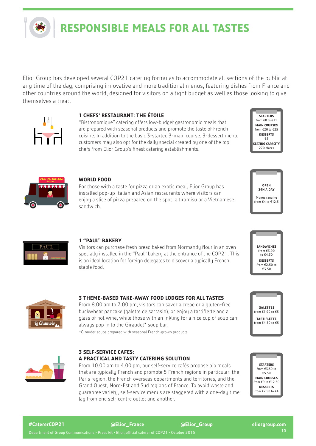

# **RESPONSIBLE MEALS FOR ALL TASTES**

Elior Group has developed several COP21 catering formulas to accommodate all sections of the public at any time of the day, comprising innovative and more traditional menus, featuring dishes from France and other countries around the world, designed for visitors on a tight budget as well as those looking to give themselves a treat.



#### **1 CHEFS' RESTAURANT: THE ÉTOILE**

"Bistronomique" catering offers low-budget gastronomic meals that are prepared with seasonal products and promote the taste of French cuisine. In addition to the basic 3-starter, 3-main course, 3-dessert menu, customers may also opt for the daily special created by one of the top chefs from Elior Group's finest catering establishments.

**STARTERS**  $\cos 68$  to €11 **MAIN COURSES**  from €20 to €25 **DESSERTS** €8 **SEATING CAPACITY**  270 places

**OPEN 24H A DAY** Menus ranging from  $\epsilon$ 4 to  $\epsilon$ 12.5



#### **WORLD FOOD**

For those with a taste for pizza or an exotic meal, Elior Group has installed pop-up Italian and Asian restaurants where visitors can enjoy a slice of pizza prepared on the spot, a tiramisu or a Vietnamese sandwich.



#### **1 "PAUL" BAKERY**

Visitors can purchase fresh bread baked from Normandy flour in an oven specially installed in the "Paul" bakery at the entrance of the COP21. This is an ideal location for foreign delegates to discover a typically French staple food.



### **3 THEME-BASED TAKE-AWAY FOOD LODGES FOR ALL TASTES**

From 8.00 am to 7.00 pm, visitors can savor a crepe or a gluten-free buckwheat pancake (galette de sarrasin), or enjoy a tartiflette and a glass of hot wine, while those with an inkling for a nice cup of soup can always pop in to the Giraudet\* soup bar.

\*Giraudet soups prepared with seasonal French-grown products.



#### **3 SELF-SERVICE CAFES: A PRACTICAL AND TASTY CATERING SOLUTION**

From 10.00 am to 4.00 pm, our self-service cafés propose bio meals that are typically French and promote 5 French regions in particular: the Paris region, the French overseas departments and territories, and the Grand Ouest, Nord-Est and Sud regions of France. To avoid waste and guarantee variety, self-service menus are staggered with a one-day time lag from one self-centre outlet and another.





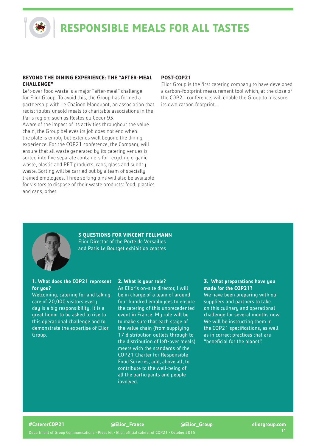**RESPONSIBLE MEALS FOR ALL TASTES**

#### **BEYOND THE DINING EXPERIENCE: THE "AFTER-MEAL CHALLENGE"**

Left-over food waste is a major "after-meal" challenge for Elior Group. To avoid this, the Group has formed a partnership with [Le Chaînon Manquant](http:// Le Chaînon Manquant), an association that redistributes unsold meals to charitable associations in the Paris region, such as Restos du Coeur 93.

Aware of the impact of its activities throughout the value chain, the Group believes its job does not end when the plate is empty but extends well beyond the dining experience. For the COP21 conference, the Company will ensure that all waste generated by its catering venues is sorted into five separate containers for recycling organic waste, plastic and PET products, cans, glass and sundry waste. Sorting will be carried out by a team of specially trained employees. Three sorting bins will also be available for visitors to dispose of their waste products: food, plastics and cans, other.

#### **POST-COP21**

Elior Group is the first catering company to have developed a carbon-footprint measurement tool which, at the close of the COP21 conference, will enable the Group to measure its own carbon footprint..



**3 QUESTIONS FOR VINCENT FELLMANN** Elior Director of the Porte de Versailles and Paris Le Bourget exhibition centres

#### **1. What does the COP21 represent for you?**

Welcoming, catering for and taking care of 20,000 visitors every day is a big responsibility. It is a great honor to be asked to rise to this operational challenge and to demonstrate the expertise of Elior Group.

#### **2. What is your role?**

As Elior's on-site director, I will be in charge of a team of around four hundred employees to ensure the catering of this unprecedented event in France. Mu role will be to make sure that each stage of the value chain (from supplying 17 distribution outlets through to the distribution of left-over meals) meets with the standards of the COP21 Charter for Responsible Food Services, and, above all, to contribute to the well-being of all the participants and people involved.

#### **3. What preparations have you made for the COP21?**

We have been preparing with our suppliers and partners to take on this culinary and operational challenge for several months now. We will be instructing them in the COP21 specifications, as well as in correct practices that are "beneficial for the planet".